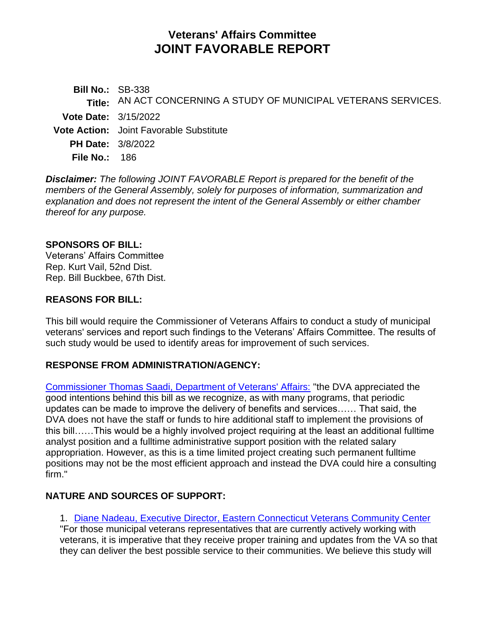# **Veterans' Affairs Committee JOINT FAVORABLE REPORT**

**Bill No.:** SB-338 **Title:** AN ACT CONCERNING A STUDY OF MUNICIPAL VETERANS SERVICES. **Vote Date:** 3/15/2022 **Vote Action:** Joint Favorable Substitute **PH Date:** 3/8/2022 **File No.:** 186

*Disclaimer: The following JOINT FAVORABLE Report is prepared for the benefit of the members of the General Assembly, solely for purposes of information, summarization and explanation and does not represent the intent of the General Assembly or either chamber thereof for any purpose.*

#### **SPONSORS OF BILL:**

Veterans' Affairs Committee Rep. Kurt Vail, 52nd Dist. Rep. Bill Buckbee, 67th Dist.

#### **REASONS FOR BILL:**

This bill would require the Commissioner of Veterans Affairs to conduct a study of municipal veterans' services and report such findings to the Veterans' Affairs Committee. The results of such study would be used to identify areas for improvement of such services.

### **RESPONSE FROM ADMINISTRATION/AGENCY:**

[Commissioner Thomas Saadi, Department of Veterans' Affairs:](https://www.cga.ct.gov/2022/VAdata/Tmy/2022SB-00338-R000308-Saadi,%20Thomas%20J.,%20Commissioner-Department%20of%20Veterans%20Affairs-Support-TMY.PDF) "the DVA appreciated the good intentions behind this bill as we recognize, as with many programs, that periodic updates can be made to improve the delivery of benefits and services…… That said, the DVA does not have the staff or funds to hire additional staff to implement the provisions of this bill……This would be a highly involved project requiring at the least an additional fulltime analyst position and a fulltime administrative support position with the related salary appropriation. However, as this is a time limited project creating such permanent fulltime positions may not be the most efficient approach and instead the DVA could hire a consulting firm."

### **NATURE AND SOURCES OF SUPPORT:**

1. [Diane Nadeau, Executive Director, Eastern Connecticut Veterans Community Center](https://www.cga.ct.gov/2022/VAdata/Tmy/2022SB-00338-R000308-Nadeau,%20Diane,%20President-Windham%20Region%20Chamber%20of%20Commerce-Support-TMY.PDF)

"For those municipal veterans representatives that are currently actively working with veterans, it is imperative that they receive proper training and updates from the VA so that they can deliver the best possible service to their communities. We believe this study will